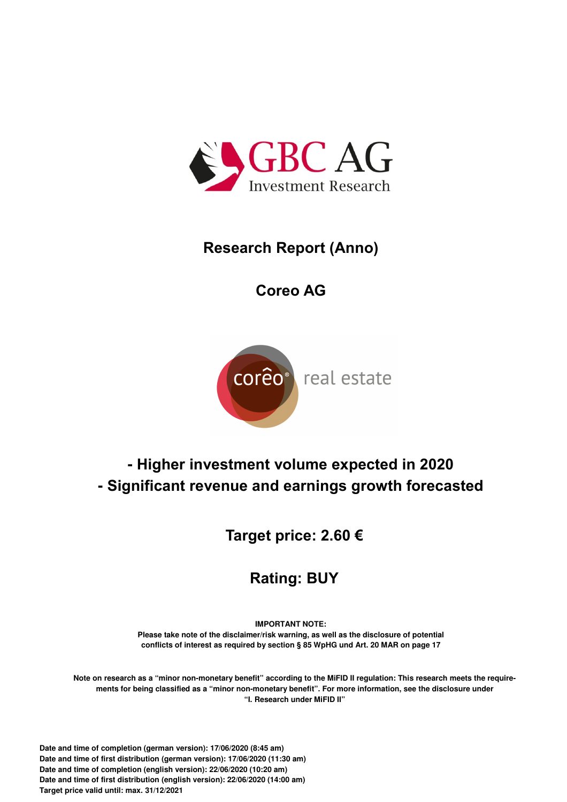

**Research Report (Anno)**

**Coreo AG**



**- Higher investment volume expected in 2020 - Significant revenue and earnings growth forecasted**

**Target price: 2.60 €**

# **Rating: BUY**

**IMPORTANT NOTE: Please take note of the disclaimer/risk warning, as well as the disclosure of potential conflicts of interest as required by section § 85 WpHG und Art. 20 MAR on page 17** 

**Note on research as a "minor non-monetary benefit" according to the MiFID II regulation: This research meets the requirements for being classified as a "minor non-monetary benefit". For more information, see the disclosure under "I. Research under MiFID II"** 

**Date and time of completion (german version): 17/06/2020 (8:45 am) Date and time of first distribution (german version): 17/06/2020 (11:30 am) Date and time of completion (english version): 22/06/2020 (10:20 am) Date and time of first distribution (english version): 22/06/2020 (14:00 am) Target price valid until: max. 31/12/2021**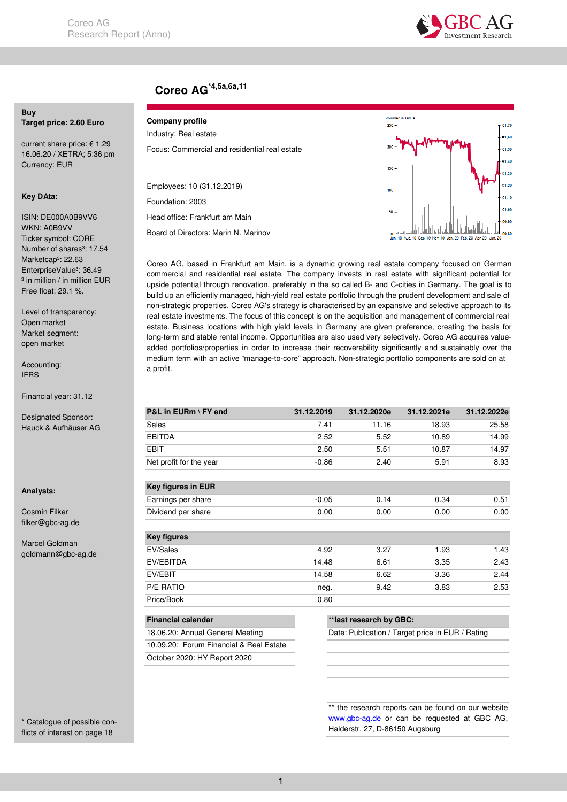

# **Coreo AG\*4,5a,6a,11**

#### **Buy Target price: 2.60 Euro**

current share price: € 1.29

# 16.06.20 / XETRA; 5:36 pm Currency: EUR

### **Key DAta:**

ISIN: DE000A0B9VV6 WKN: A0B9VV Ticker symbol: CORE Number of shares<sup>3</sup>: 17.54 Marketcap<sup>3</sup>: 22.63 EnterpriseValue<sup>3</sup>: 36.49 <sup>3</sup> in million / in million EUR Free float: 29.1 %.

Level of transparency: Open market Market segment: open market

Accounting: IFRS

Financial year: 31.12

Designated Sponsor: Hauck & Aufhäuser AG

#### **Analysts:**

Cosmin Filker filker@gbc-ag.de

Marcel Goldman goldmann@gbc-ag.de

\* Catalogue of possible conflicts of interest on page 18

## **Company profile**

Industry: Real estate Focus: Commercial and residential real estate

Employees: 10 (31.12.2019) Foundation: 2003 Head office: Frankfurt am Main

Board of Directors: Marin N. Marinov



Coreo AG, based in Frankfurt am Main, is a dynamic growing real estate company focused on German commercial and residential real estate. The company invests in real estate with significant potential for upside potential through renovation, preferably in the so called B- and C-cities in Germany. The goal is to build up an efficiently managed, high-yield real estate portfolio through the prudent development and sale of non-strategic properties. Coreo AG's strategy is characterised by an expansive and selective approach to its real estate investments. The focus of this concept is on the acquisition and management of commercial real estate. Business locations with high yield levels in Germany are given preference, creating the basis for long-term and stable rental income. Opportunities are also used very selectively. Coreo AG acquires valueadded portfolios/properties in order to increase their recoverability significantly and sustainably over the medium term with an active "manage-to-core" approach. Non-strategic portfolio components are sold on at a profit.

| P&L in EURm \ FY end    | 31.12.2019 | 31.12.2020e | 31.12.2021e | 31.12.2022e |
|-------------------------|------------|-------------|-------------|-------------|
| Sales                   | 7.41       | 11.16       | 18.93       | 25.58       |
| <b>EBITDA</b>           | 2.52       | 5.52        | 10.89       | 14.99       |
| EBIT                    | 2.50       | 5.51        | 10.87       | 14.97       |
| Net profit for the year | $-0.86$    | 2.40        | 5.91        | 8.93        |
| Key figures in EUR      |            |             |             |             |
| Earnings per share      | $-0.05$    | 0.14        | 0.34        | 0.51        |
| Dividend per share      | 0.00       | 0.00        | 0.00        | 0.00        |
| <b>Key figures</b>      |            |             |             |             |
| EV/Sales                | 4.92       | 3.27        | 1.93        | 1.43        |
| EV/EBITDA               | 14.48      | 6.61        | 3.35        | 2.43        |
| EV/EBIT                 | 14.58      | 6.62        | 3.36        | 2.44        |
| P/E RATIO               | neg.       | 9.42        | 3.83        | 2.53        |
| Price/Book              | 0.80       |             |             |             |
|                         |            |             |             |             |

# **Financial calendar** 18.06.20: Annual General Meeting 10.09.20: Forum Financial & Real Estate

October 2020: HY Report 2020

#### **\*\*last research by GBC:**

Date: Publication / Target price in EUR / Rating

\*\* the research reports can be found on our website www.gbc-ag.de or can be requested at GBC AG, Halderstr. 27, D-86150 Augsburg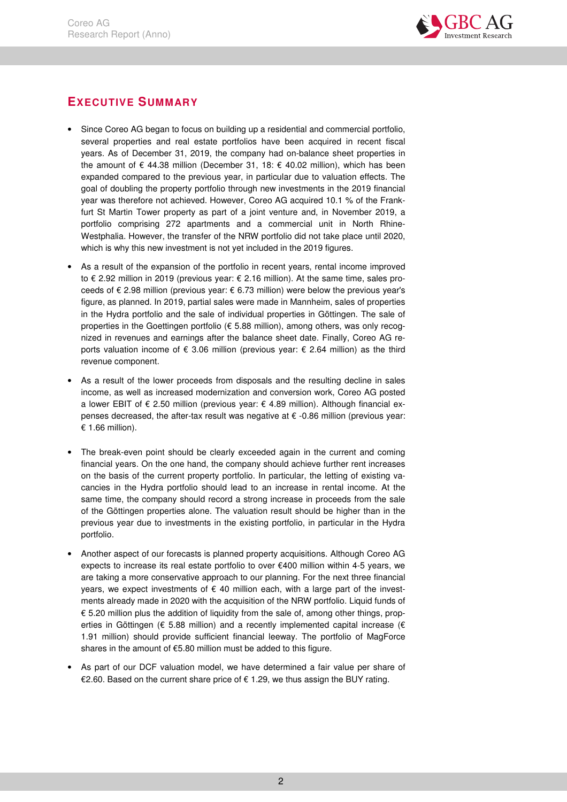

# **EXECUTIVE SUMMARY**

- Since Coreo AG began to focus on building up a residential and commercial portfolio, several properties and real estate portfolios have been acquired in recent fiscal years. As of December 31, 2019, the company had on-balance sheet properties in the amount of  $\epsilon$  44.38 million (December 31, 18:  $\epsilon$  40.02 million), which has been expanded compared to the previous year, in particular due to valuation effects. The goal of doubling the property portfolio through new investments in the 2019 financial year was therefore not achieved. However, Coreo AG acquired 10.1 % of the Frankfurt St Martin Tower property as part of a joint venture and, in November 2019, a portfolio comprising 272 apartments and a commercial unit in North Rhine-Westphalia. However, the transfer of the NRW portfolio did not take place until 2020, which is why this new investment is not yet included in the 2019 figures.
- As a result of the expansion of the portfolio in recent years, rental income improved to € 2.92 million in 2019 (previous year: € 2.16 million). At the same time, sales proceeds of € 2.98 million (previous year: € 6.73 million) were below the previous year's figure, as planned. In 2019, partial sales were made in Mannheim, sales of properties in the Hydra portfolio and the sale of individual properties in Göttingen. The sale of properties in the Goettingen portfolio ( $\epsilon$  5.88 million), among others, was only recognized in revenues and earnings after the balance sheet date. Finally, Coreo AG reports valuation income of  $\epsilon$  3.06 million (previous year:  $\epsilon$  2.64 million) as the third revenue component.
- As a result of the lower proceeds from disposals and the resulting decline in sales income, as well as increased modernization and conversion work, Coreo AG posted a lower EBIT of € 2.50 million (previous year: € 4.89 million). Although financial expenses decreased, the after-tax result was negative at € -0.86 million (previous year: € 1.66 million).
- The break-even point should be clearly exceeded again in the current and coming financial years. On the one hand, the company should achieve further rent increases on the basis of the current property portfolio. In particular, the letting of existing vacancies in the Hydra portfolio should lead to an increase in rental income. At the same time, the company should record a strong increase in proceeds from the sale of the Göttingen properties alone. The valuation result should be higher than in the previous year due to investments in the existing portfolio, in particular in the Hydra portfolio.
- Another aspect of our forecasts is planned property acquisitions. Although Coreo AG expects to increase its real estate portfolio to over €400 million within 4-5 years, we are taking a more conservative approach to our planning. For the next three financial years, we expect investments of  $\epsilon$  40 million each, with a large part of the investments already made in 2020 with the acquisition of the NRW portfolio. Liquid funds of  $€ 5.20$  million plus the addition of liquidity from the sale of, among other things, properties in Göttingen ( $\epsilon$  5.88 million) and a recently implemented capital increase ( $\epsilon$ 1.91 million) should provide sufficient financial leeway. The portfolio of MagForce shares in the amount of €5.80 million must be added to this figure.
- As part of our DCF valuation model, we have determined a fair value per share of €2.60. Based on the current share price of € 1.29, we thus assign the BUY rating.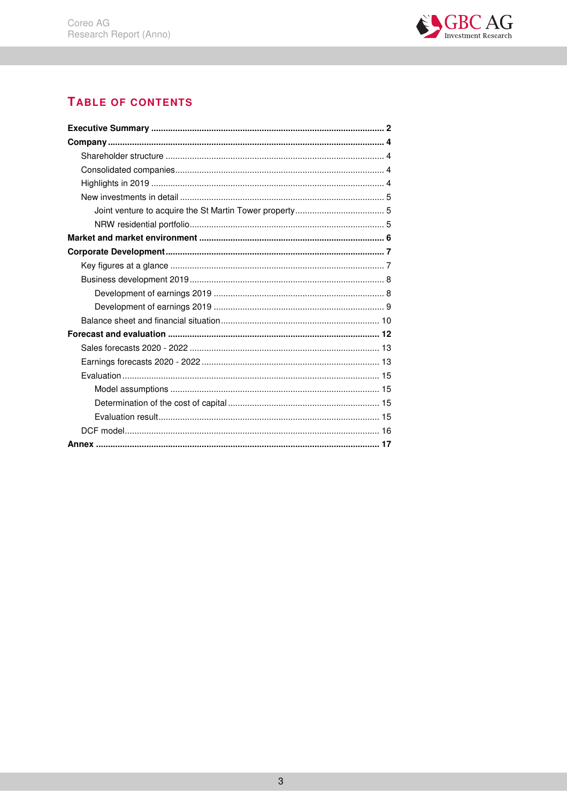

# TABLE OF CONTENTS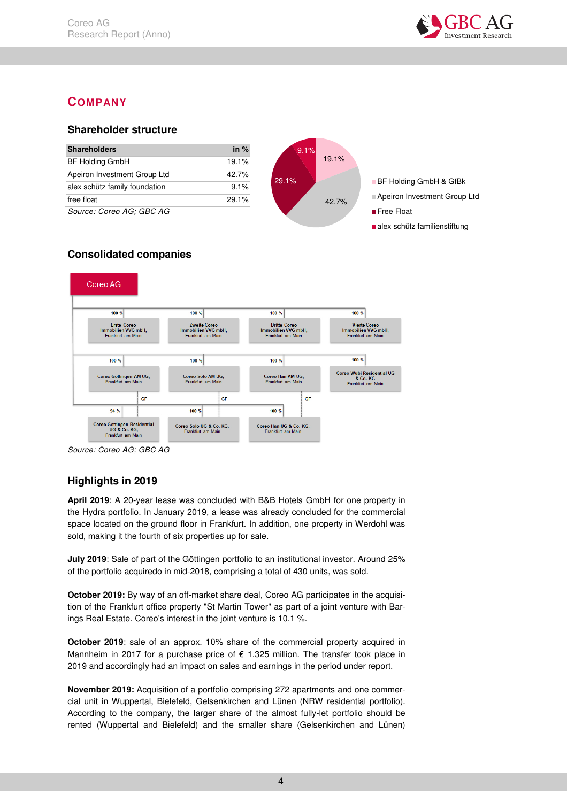

# **COMPANY**

# **Shareholder structure**



# **Consolidated companies**





# **Highlights in 2019**

**April 2019**: A 20-year lease was concluded with B&B Hotels GmbH for one property in the Hydra portfolio. In January 2019, a lease was already concluded for the commercial space located on the ground floor in Frankfurt. In addition, one property in Werdohl was sold, making it the fourth of six properties up for sale.

**July 2019**: Sale of part of the Göttingen portfolio to an institutional investor. Around 25% of the portfolio acquiredo in mid-2018, comprising a total of 430 units, was sold.

**October 2019:** By way of an off-market share deal, Coreo AG participates in the acquisition of the Frankfurt office property "St Martin Tower" as part of a joint venture with Barings Real Estate. Coreo's interest in the joint venture is 10.1 %.

**October 2019**: sale of an approx. 10% share of the commercial property acquired in Mannheim in 2017 for a purchase price of € 1.325 million. The transfer took place in 2019 and accordingly had an impact on sales and earnings in the period under report.

**November 2019:** Acquisition of a portfolio comprising 272 apartments and one commercial unit in Wuppertal, Bielefeld, Gelsenkirchen and Lünen (NRW residential portfolio). According to the company, the larger share of the almost fully-let portfolio should be rented (Wuppertal and Bielefeld) and the smaller share (Gelsenkirchen and Lünen)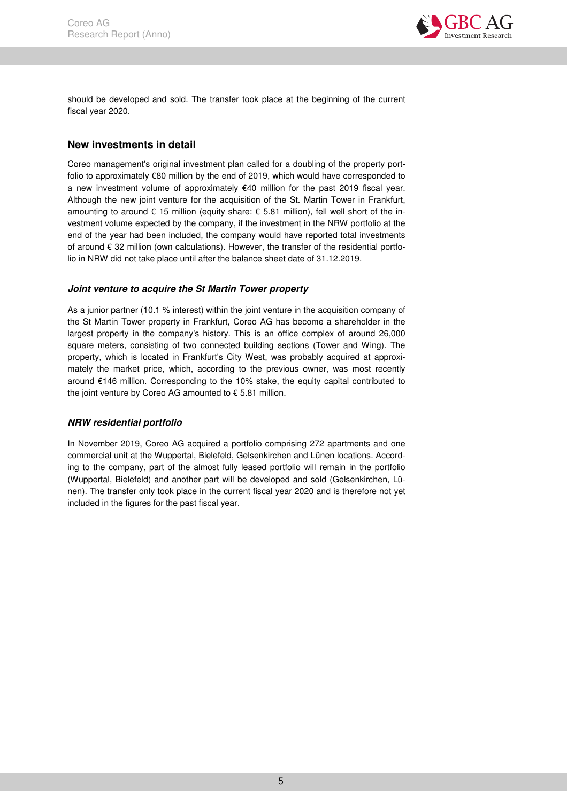

should be developed and sold. The transfer took place at the beginning of the current fiscal year 2020.

# **New investments in detail**

Coreo management's original investment plan called for a doubling of the property portfolio to approximately €80 million by the end of 2019, which would have corresponded to a new investment volume of approximately €40 million for the past 2019 fiscal year. Although the new joint venture for the acquisition of the St. Martin Tower in Frankfurt, amounting to around  $\epsilon$  15 million (equity share:  $\epsilon$  5.81 million), fell well short of the investment volume expected by the company, if the investment in the NRW portfolio at the end of the year had been included, the company would have reported total investments of around € 32 million (own calculations). However, the transfer of the residential portfolio in NRW did not take place until after the balance sheet date of 31.12.2019.

## **Joint venture to acquire the St Martin Tower property**

As a junior partner (10.1 % interest) within the joint venture in the acquisition company of the St Martin Tower property in Frankfurt, Coreo AG has become a shareholder in the largest property in the company's history. This is an office complex of around 26,000 square meters, consisting of two connected building sections (Tower and Wing). The property, which is located in Frankfurt's City West, was probably acquired at approximately the market price, which, according to the previous owner, was most recently around €146 million. Corresponding to the 10% stake, the equity capital contributed to the joint venture by Coreo AG amounted to  $\epsilon$  5.81 million.

# **NRW residential portfolio**

In November 2019, Coreo AG acquired a portfolio comprising 272 apartments and one commercial unit at the Wuppertal, Bielefeld, Gelsenkirchen and Lünen locations. According to the company, part of the almost fully leased portfolio will remain in the portfolio (Wuppertal, Bielefeld) and another part will be developed and sold (Gelsenkirchen, Lünen). The transfer only took place in the current fiscal year 2020 and is therefore not yet included in the figures for the past fiscal year.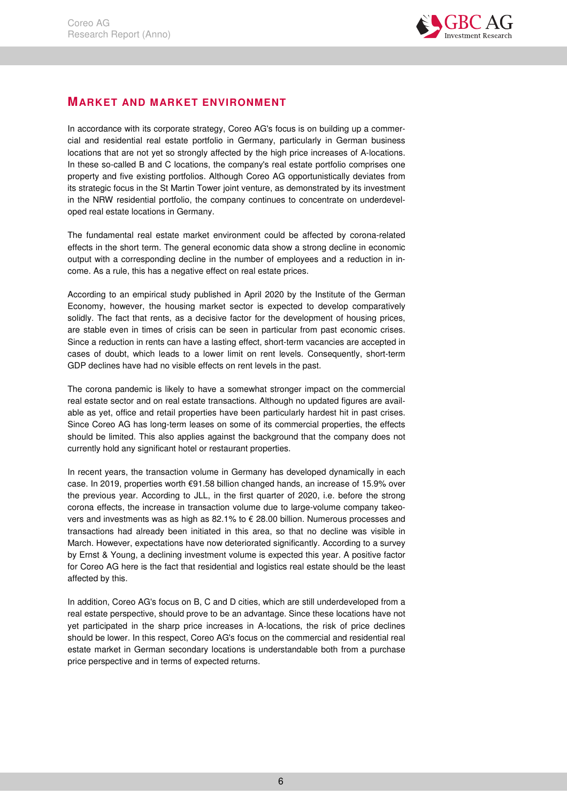

# **MARKET AND MARKET ENVIRONMENT**

In accordance with its corporate strategy, Coreo AG's focus is on building up a commercial and residential real estate portfolio in Germany, particularly in German business locations that are not yet so strongly affected by the high price increases of A-locations. In these so-called B and C locations, the company's real estate portfolio comprises one property and five existing portfolios. Although Coreo AG opportunistically deviates from its strategic focus in the St Martin Tower joint venture, as demonstrated by its investment in the NRW residential portfolio, the company continues to concentrate on underdeveloped real estate locations in Germany.

The fundamental real estate market environment could be affected by corona-related effects in the short term. The general economic data show a strong decline in economic output with a corresponding decline in the number of employees and a reduction in income. As a rule, this has a negative effect on real estate prices.

According to an empirical study published in April 2020 by the Institute of the German Economy, however, the housing market sector is expected to develop comparatively solidly. The fact that rents, as a decisive factor for the development of housing prices, are stable even in times of crisis can be seen in particular from past economic crises. Since a reduction in rents can have a lasting effect, short-term vacancies are accepted in cases of doubt, which leads to a lower limit on rent levels. Consequently, short-term GDP declines have had no visible effects on rent levels in the past.

The corona pandemic is likely to have a somewhat stronger impact on the commercial real estate sector and on real estate transactions. Although no updated figures are available as yet, office and retail properties have been particularly hardest hit in past crises. Since Coreo AG has long-term leases on some of its commercial properties, the effects should be limited. This also applies against the background that the company does not currently hold any significant hotel or restaurant properties.

In recent years, the transaction volume in Germany has developed dynamically in each case. In 2019, properties worth €91.58 billion changed hands, an increase of 15.9% over the previous year. According to JLL, in the first quarter of 2020, i.e. before the strong corona effects, the increase in transaction volume due to large-volume company takeovers and investments was as high as 82.1% to € 28.00 billion. Numerous processes and transactions had already been initiated in this area, so that no decline was visible in March. However, expectations have now deteriorated significantly. According to a survey by Ernst & Young, a declining investment volume is expected this year. A positive factor for Coreo AG here is the fact that residential and logistics real estate should be the least affected by this.

In addition, Coreo AG's focus on B, C and D cities, which are still underdeveloped from a real estate perspective, should prove to be an advantage. Since these locations have not yet participated in the sharp price increases in A-locations, the risk of price declines should be lower. In this respect, Coreo AG's focus on the commercial and residential real estate market in German secondary locations is understandable both from a purchase price perspective and in terms of expected returns.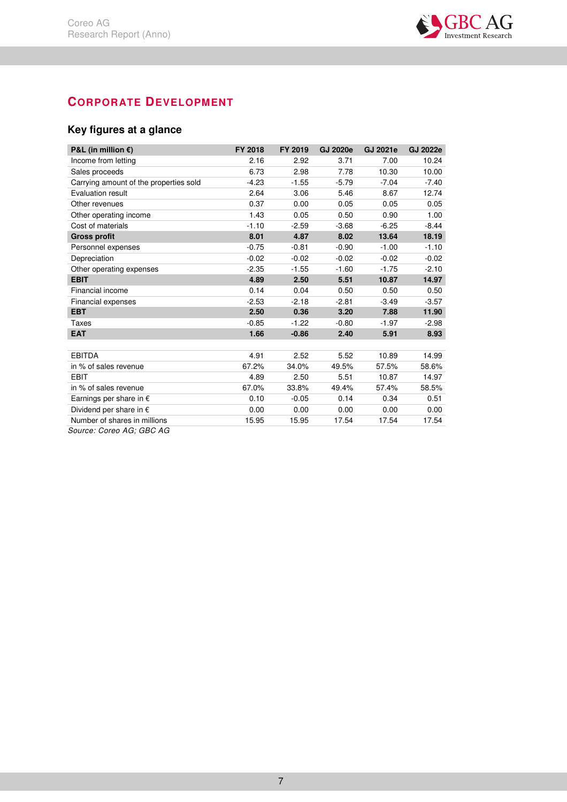

# **CORPORATE DEVELOPMENT**

# **Key figures at a glance**

| P&L (in million $\epsilon$ )           | FY 2018 | FY 2019 | <b>GJ 2020e</b> | <b>GJ 2021e</b> | <b>GJ 2022e</b> |
|----------------------------------------|---------|---------|-----------------|-----------------|-----------------|
| Income from letting                    | 2.16    | 2.92    | 3.71            | 7.00            | 10.24           |
| Sales proceeds                         | 6.73    | 2.98    | 7.78            | 10.30           | 10.00           |
| Carrying amount of the properties sold | $-4.23$ | $-1.55$ | $-5.79$         | $-7.04$         | $-7.40$         |
| Evaluation result                      | 2.64    | 3.06    | 5.46            | 8.67            | 12.74           |
| Other revenues                         | 0.37    | 0.00    | 0.05            | 0.05            | 0.05            |
| Other operating income                 | 1.43    | 0.05    | 0.50            | 0.90            | 1.00            |
| Cost of materials                      | $-1.10$ | $-2.59$ | $-3.68$         | $-6.25$         | $-8.44$         |
| <b>Gross profit</b>                    | 8.01    | 4.87    | 8.02            | 13.64           | 18.19           |
| Personnel expenses                     | $-0.75$ | $-0.81$ | $-0.90$         | $-1.00$         | $-1.10$         |
| Depreciation                           | $-0.02$ | $-0.02$ | $-0.02$         | $-0.02$         | $-0.02$         |
| Other operating expenses               | $-2.35$ | $-1.55$ | $-1.60$         | $-1.75$         | $-2.10$         |
| <b>EBIT</b>                            | 4.89    | 2.50    | 5.51            | 10.87           | 14.97           |
| Financial income                       | 0.14    | 0.04    | 0.50            | 0.50            | 0.50            |
| Financial expenses                     | $-2.53$ | $-2.18$ | $-2.81$         | $-3.49$         | $-3.57$         |
| <b>EBT</b>                             | 2.50    | 0.36    | 3.20            | 7.88            | 11.90           |
| Taxes                                  | $-0.85$ | $-1.22$ | $-0.80$         | $-1.97$         | $-2.98$         |
| <b>EAT</b>                             | 1.66    | $-0.86$ | 2.40            | 5.91            | 8.93            |
|                                        |         |         |                 |                 |                 |
| <b>EBITDA</b>                          | 4.91    | 2.52    | 5.52            | 10.89           | 14.99           |
| in % of sales revenue                  | 67.2%   | 34.0%   | 49.5%           | 57.5%           | 58.6%           |
| <b>EBIT</b>                            | 4.89    | 2.50    | 5.51            | 10.87           | 14.97           |
| in % of sales revenue                  | 67.0%   | 33.8%   | 49.4%           | 57.4%           | 58.5%           |
| Earnings per share in $\epsilon$       | 0.10    | $-0.05$ | 0.14            | 0.34            | 0.51            |
| Dividend per share in $\epsilon$       | 0.00    | 0.00    | 0.00            | 0.00            | 0.00            |
| Number of shares in millions           | 15.95   | 15.95   | 17.54           | 17.54           | 17.54           |

Source: Coreo AG; GBC AG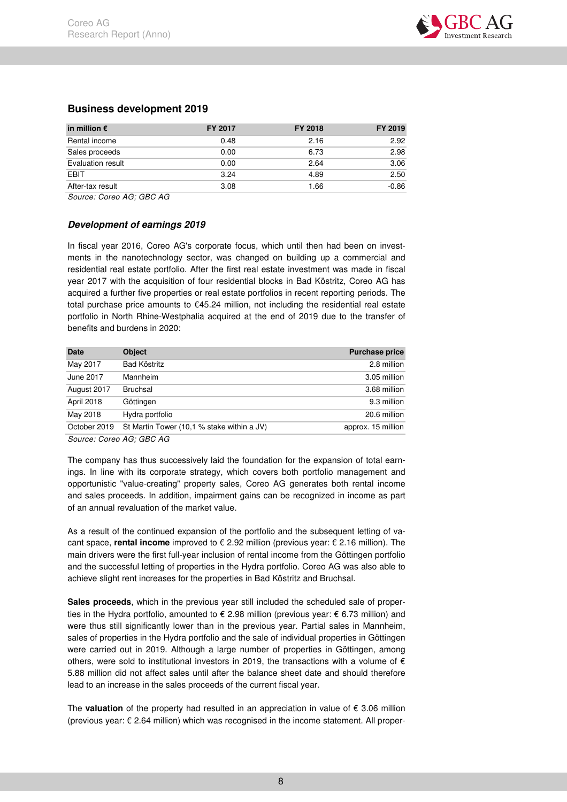

# **Business development 2019**

| in million $\epsilon$ | <b>FY 2017</b> | FY 2018 | FY 2019 |
|-----------------------|----------------|---------|---------|
| Rental income         | 0.48           | 2.16    | 2.92    |
| Sales proceeds        | 0.00           | 6.73    | 2.98    |
| Evaluation result     | 0.00           | 2.64    | 3.06    |
| <b>EBIT</b>           | 3.24           | 4.89    | 2.50    |
| After-tax result      | 3.08           | 1.66    | $-0.86$ |

Source: Coreo AG; GBC AG

# **Development of earnings 2019**

In fiscal year 2016, Coreo AG's corporate focus, which until then had been on investments in the nanotechnology sector, was changed on building up a commercial and residential real estate portfolio. After the first real estate investment was made in fiscal year 2017 with the acquisition of four residential blocks in Bad Köstritz, Coreo AG has acquired a further five properties or real estate portfolios in recent reporting periods. The total purchase price amounts to €45.24 million, not including the residential real estate portfolio in North Rhine-Westphalia acquired at the end of 2019 due to the transfer of benefits and burdens in 2020:

| <b>Date</b>  | <b>Object</b>                              | <b>Purchase price</b> |
|--------------|--------------------------------------------|-----------------------|
| May 2017     | Bad Köstritz                               | 2.8 million           |
| June 2017    | <b>Mannheim</b>                            | 3.05 million          |
| August 2017  | <b>Bruchsal</b>                            | 3.68 million          |
| April 2018   | Göttingen                                  | 9.3 million           |
| May 2018     | Hydra portfolio                            | 20.6 million          |
| October 2019 | St Martin Tower (10.1 % stake within a JV) | approx. 15 million    |
|              | Source: Coreo AG: GBC AG                   |                       |

The company has thus successively laid the foundation for the expansion of total earnings. In line with its corporate strategy, which covers both portfolio management and opportunistic "value-creating" property sales, Coreo AG generates both rental income and sales proceeds. In addition, impairment gains can be recognized in income as part of an annual revaluation of the market value.

As a result of the continued expansion of the portfolio and the subsequent letting of vacant space, **rental income** improved to € 2.92 million (previous year: € 2.16 million). The main drivers were the first full-year inclusion of rental income from the Göttingen portfolio and the successful letting of properties in the Hydra portfolio. Coreo AG was also able to achieve slight rent increases for the properties in Bad Köstritz and Bruchsal.

**Sales proceeds**, which in the previous year still included the scheduled sale of properties in the Hydra portfolio, amounted to € 2.98 million (previous year: € 6.73 million) and were thus still significantly lower than in the previous year. Partial sales in Mannheim, sales of properties in the Hydra portfolio and the sale of individual properties in Göttingen were carried out in 2019. Although a large number of properties in Göttingen, among others, were sold to institutional investors in 2019, the transactions with a volume of  $\epsilon$ 5.88 million did not affect sales until after the balance sheet date and should therefore lead to an increase in the sales proceeds of the current fiscal year.

The **valuation** of the property had resulted in an appreciation in value of € 3.06 million (previous year:  $\epsilon$  2.64 million) which was recognised in the income statement. All proper-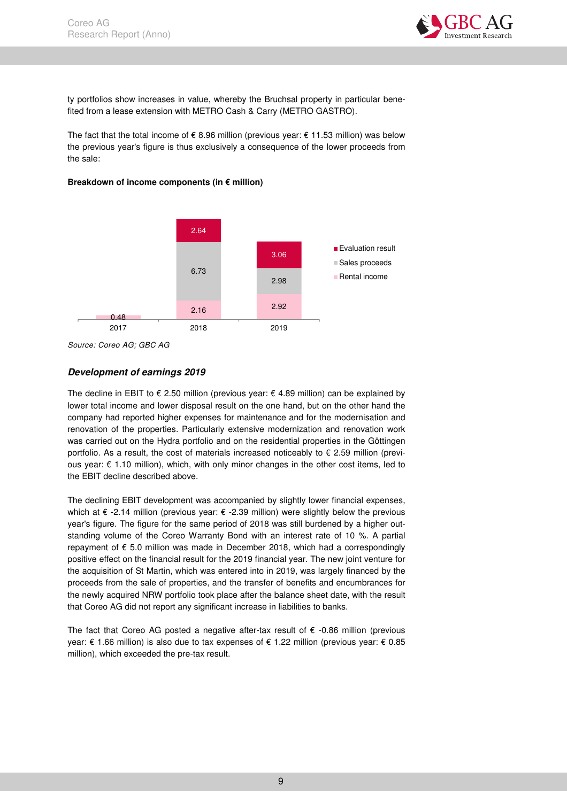

ty portfolios show increases in value, whereby the Bruchsal property in particular benefited from a lease extension with METRO Cash & Carry (METRO GASTRO).

The fact that the total income of  $\epsilon$  8.96 million (previous year:  $\epsilon$  11.53 million) was below the previous year's figure is thus exclusively a consequence of the lower proceeds from the sale:

## **Breakdown of income components (in € million)**



Source: Coreo AG; GBC AG

## **Development of earnings 2019**

The decline in EBIT to  $\epsilon$  2.50 million (previous year:  $\epsilon$  4.89 million) can be explained by lower total income and lower disposal result on the one hand, but on the other hand the company had reported higher expenses for maintenance and for the modernisation and renovation of the properties. Particularly extensive modernization and renovation work was carried out on the Hydra portfolio and on the residential properties in the Göttingen portfolio. As a result, the cost of materials increased noticeably to  $\epsilon$  2.59 million (previous year: € 1.10 million), which, with only minor changes in the other cost items, led to the EBIT decline described above.

The declining EBIT development was accompanied by slightly lower financial expenses, which at € -2.14 million (previous year: € -2.39 million) were slightly below the previous year's figure. The figure for the same period of 2018 was still burdened by a higher outstanding volume of the Coreo Warranty Bond with an interest rate of 10 %. A partial repayment of € 5.0 million was made in December 2018, which had a correspondingly positive effect on the financial result for the 2019 financial year. The new joint venture for the acquisition of St Martin, which was entered into in 2019, was largely financed by the proceeds from the sale of properties, and the transfer of benefits and encumbrances for the newly acquired NRW portfolio took place after the balance sheet date, with the result that Coreo AG did not report any significant increase in liabilities to banks.

The fact that Coreo AG posted a negative after-tax result of  $\epsilon$  -0.86 million (previous year: € 1.66 million) is also due to tax expenses of € 1.22 million (previous year: € 0.85 million), which exceeded the pre-tax result.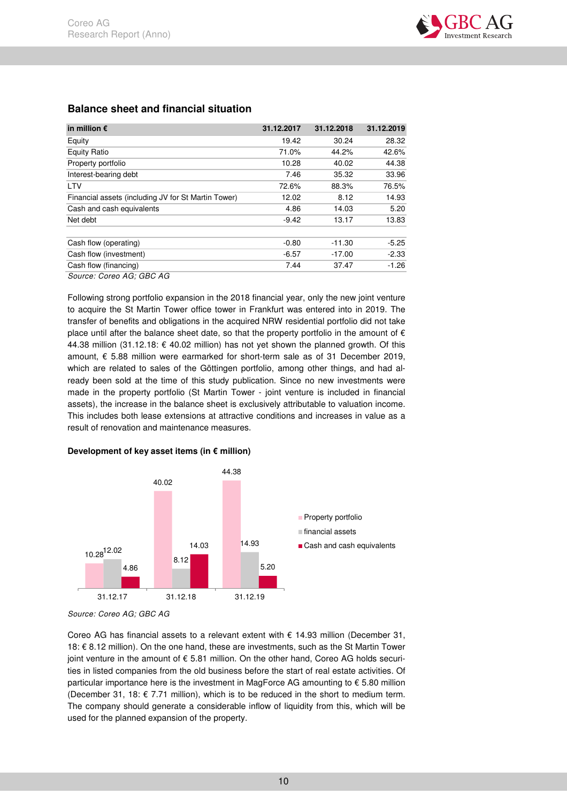| in million $\epsilon$                               | 31.12.2017 | 31.12.2018 | 31.12.2019 |
|-----------------------------------------------------|------------|------------|------------|
| Equity                                              | 19.42      | 30.24      | 28.32      |
| Equity Ratio                                        | 71.0%      | 44.2%      | 42.6%      |
| Property portfolio                                  | 10.28      | 40.02      | 44.38      |
| Interest-bearing debt                               | 7.46       | 35.32      | 33.96      |
| <b>LTV</b>                                          | 72.6%      | 88.3%      | 76.5%      |
| Financial assets (including JV for St Martin Tower) | 12.02      | 8.12       | 14.93      |
| Cash and cash equivalents                           | 4.86       | 14.03      | 5.20       |
| Net debt                                            | $-9.42$    | 13.17      | 13.83      |
| Cash flow (operating)                               | $-0.80$    | $-11.30$   | $-5.25$    |
| Cash flow (investment)                              | $-6.57$    | $-17.00$   | $-2.33$    |
| Cash flow (financing)                               | 7.44       | 37.47      | $-1.26$    |
| $P_{\text{A}}$                                      |            |            |            |

# **Balance sheet and financial situation**

Source: Coreo AG; GBC AG

Following strong portfolio expansion in the 2018 financial year, only the new joint venture to acquire the St Martin Tower office tower in Frankfurt was entered into in 2019. The transfer of benefits and obligations in the acquired NRW residential portfolio did not take place until after the balance sheet date, so that the property portfolio in the amount of  $\epsilon$ 44.38 million (31.12.18: € 40.02 million) has not yet shown the planned growth. Of this amount, € 5.88 million were earmarked for short-term sale as of 31 December 2019, which are related to sales of the Göttingen portfolio, among other things, and had already been sold at the time of this study publication. Since no new investments were made in the property portfolio (St Martin Tower - joint venture is included in financial assets), the increase in the balance sheet is exclusively attributable to valuation income. This includes both lease extensions at attractive conditions and increases in value as a result of renovation and maintenance measures.

## **Development of key asset items (in € million)**



Source: Coreo AG; GBC AG

Coreo AG has financial assets to a relevant extent with  $\epsilon$  14.93 million (December 31, 18: € 8.12 million). On the one hand, these are investments, such as the St Martin Tower joint venture in the amount of € 5.81 million. On the other hand, Coreo AG holds securities in listed companies from the old business before the start of real estate activities. Of particular importance here is the investment in MagForce AG amounting to € 5.80 million (December 31, 18:  $\epsilon$  7.71 million), which is to be reduced in the short to medium term. The company should generate a considerable inflow of liquidity from this, which will be used for the planned expansion of the property.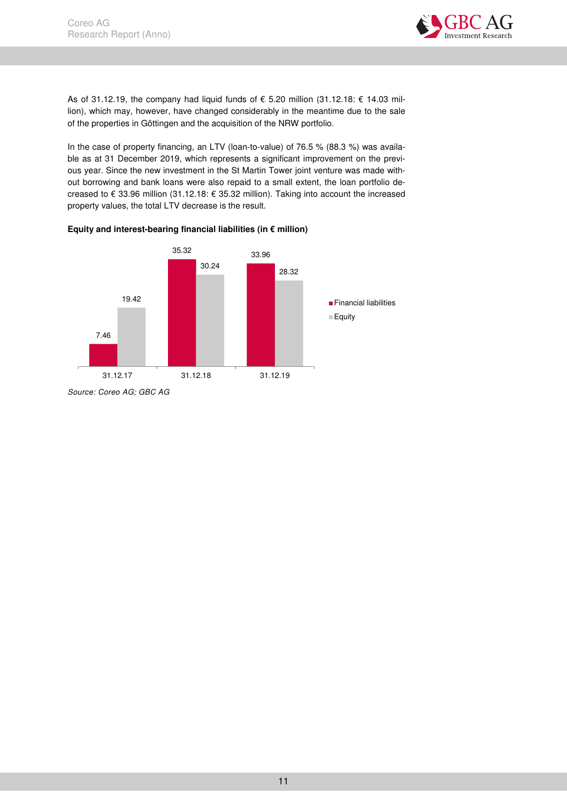

As of 31.12.19, the company had liquid funds of € 5.20 million (31.12.18: € 14.03 million), which may, however, have changed considerably in the meantime due to the sale of the properties in Göttingen and the acquisition of the NRW portfolio.

In the case of property financing, an LTV (loan-to-value) of 76.5 % (88.3 %) was available as at 31 December 2019, which represents a significant improvement on the previous year. Since the new investment in the St Martin Tower joint venture was made without borrowing and bank loans were also repaid to a small extent, the loan portfolio decreased to € 33.96 million (31.12.18: € 35.32 million). Taking into account the increased property values, the total LTV decrease is the result.



**Equity and interest-bearing financial liabilities (in € million)** 

Source: Coreo AG; GBC AG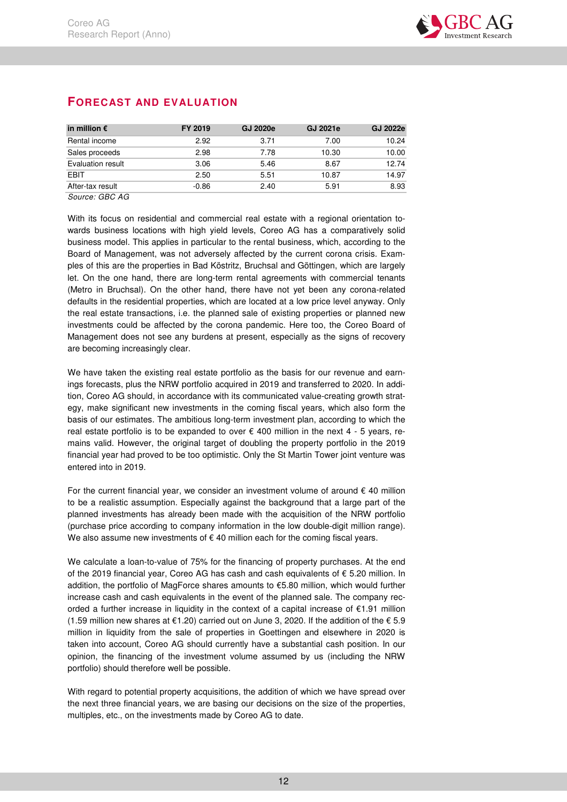

| in million $\epsilon$       | FY 2019 | <b>GJ 2020e</b> | GJ 2021e | <b>GJ 2022e</b> |
|-----------------------------|---------|-----------------|----------|-----------------|
| Rental income               | 2.92    | 3.71            | 7.00     | 10.24           |
| Sales proceeds              | 2.98    | 7.78            | 10.30    | 10.00           |
| Evaluation result           | 3.06    | 5.46            | 8.67     | 12.74           |
| <b>EBIT</b>                 | 2.50    | 5.51            | 10.87    | 14.97           |
| After-tax result            | $-0.86$ | 2.40            | 5.91     | 8.93            |
| $\sim$ $\sim$ $\sim$ $\sim$ |         |                 |          |                 |

# **FORECAST AND EVALUATION**

Source: GBC AG

With its focus on residential and commercial real estate with a regional orientation towards business locations with high yield levels, Coreo AG has a comparatively solid business model. This applies in particular to the rental business, which, according to the Board of Management, was not adversely affected by the current corona crisis. Examples of this are the properties in Bad Köstritz, Bruchsal and Göttingen, which are largely let. On the one hand, there are long-term rental agreements with commercial tenants (Metro in Bruchsal). On the other hand, there have not yet been any corona-related defaults in the residential properties, which are located at a low price level anyway. Only the real estate transactions, i.e. the planned sale of existing properties or planned new investments could be affected by the corona pandemic. Here too, the Coreo Board of Management does not see any burdens at present, especially as the signs of recovery are becoming increasingly clear.

We have taken the existing real estate portfolio as the basis for our revenue and earnings forecasts, plus the NRW portfolio acquired in 2019 and transferred to 2020. In addition, Coreo AG should, in accordance with its communicated value-creating growth strategy, make significant new investments in the coming fiscal years, which also form the basis of our estimates. The ambitious long-term investment plan, according to which the real estate portfolio is to be expanded to over  $\epsilon$  400 million in the next 4 - 5 years, remains valid. However, the original target of doubling the property portfolio in the 2019 financial year had proved to be too optimistic. Only the St Martin Tower joint venture was entered into in 2019.

For the current financial year, we consider an investment volume of around  $\epsilon$  40 million to be a realistic assumption. Especially against the background that a large part of the planned investments has already been made with the acquisition of the NRW portfolio (purchase price according to company information in the low double-digit million range). We also assume new investments of  $\epsilon$  40 million each for the coming fiscal years.

We calculate a loan-to-value of 75% for the financing of property purchases. At the end of the 2019 financial year, Coreo AG has cash and cash equivalents of  $\epsilon$  5.20 million. In addition, the portfolio of MagForce shares amounts to €5.80 million, which would further increase cash and cash equivalents in the event of the planned sale. The company recorded a further increase in liquidity in the context of a capital increase of €1.91 million (1.59 million new shares at €1.20) carried out on June 3, 2020. If the addition of the € 5.9 million in liquidity from the sale of properties in Goettingen and elsewhere in 2020 is taken into account, Coreo AG should currently have a substantial cash position. In our opinion, the financing of the investment volume assumed by us (including the NRW portfolio) should therefore well be possible.

With regard to potential property acquisitions, the addition of which we have spread over the next three financial years, we are basing our decisions on the size of the properties, multiples, etc., on the investments made by Coreo AG to date.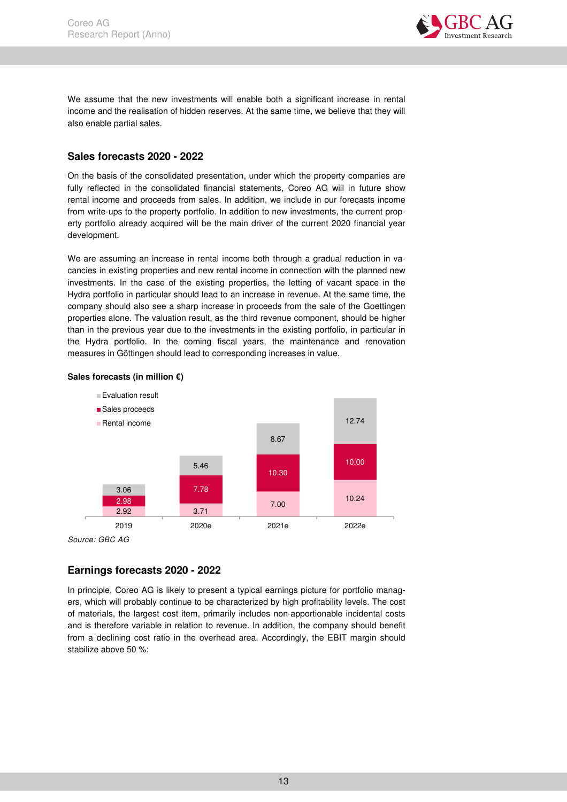

We assume that the new investments will enable both a significant increase in rental income and the realisation of hidden reserves. At the same time, we believe that they will also enable partial sales.

# **Sales forecasts 2020 - 2022**

On the basis of the consolidated presentation, under which the property companies are fully reflected in the consolidated financial statements, Coreo AG will in future show rental income and proceeds from sales. In addition, we include in our forecasts income from write-ups to the property portfolio. In addition to new investments, the current property portfolio already acquired will be the main driver of the current 2020 financial year development.

We are assuming an increase in rental income both through a gradual reduction in vacancies in existing properties and new rental income in connection with the planned new investments. In the case of the existing properties, the letting of vacant space in the Hydra portfolio in particular should lead to an increase in revenue. At the same time, the company should also see a sharp increase in proceeds from the sale of the Goettingen properties alone. The valuation result, as the third revenue component, should be higher than in the previous year due to the investments in the existing portfolio, in particular in the Hydra portfolio. In the coming fiscal years, the maintenance and renovation measures in Göttingen should lead to corresponding increases in value.



#### **Sales forecasts (in million €)**

Source: GBC AG

# **Earnings forecasts 2020 - 2022**

In principle, Coreo AG is likely to present a typical earnings picture for portfolio managers, which will probably continue to be characterized by high profitability levels. The cost of materials, the largest cost item, primarily includes non-apportionable incidental costs and is therefore variable in relation to revenue. In addition, the company should benefit from a declining cost ratio in the overhead area. Accordingly, the EBIT margin should stabilize above 50 %: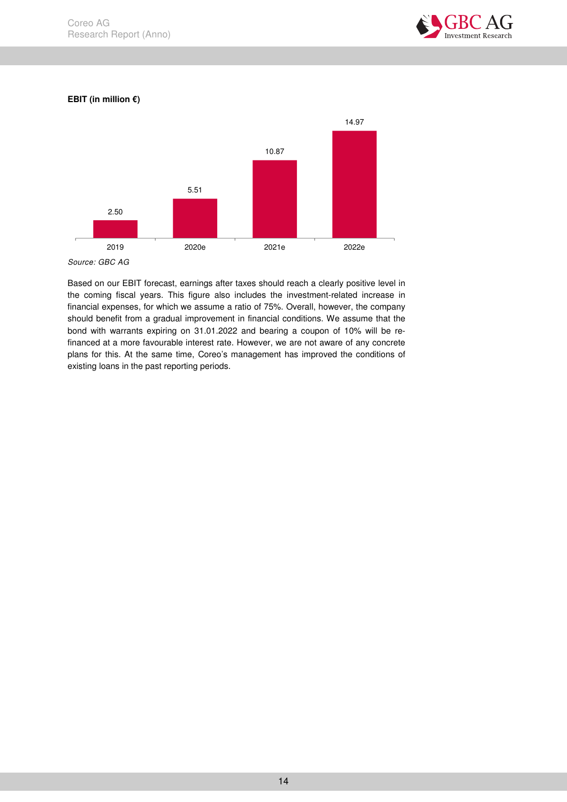

**EBIT (in million €)** 



Source: GBC AG

Based on our EBIT forecast, earnings after taxes should reach a clearly positive level in the coming fiscal years. This figure also includes the investment-related increase in financial expenses, for which we assume a ratio of 75%. Overall, however, the company should benefit from a gradual improvement in financial conditions. We assume that the bond with warrants expiring on 31.01.2022 and bearing a coupon of 10% will be refinanced at a more favourable interest rate. However, we are not aware of any concrete plans for this. At the same time, Coreo's management has improved the conditions of existing loans in the past reporting periods.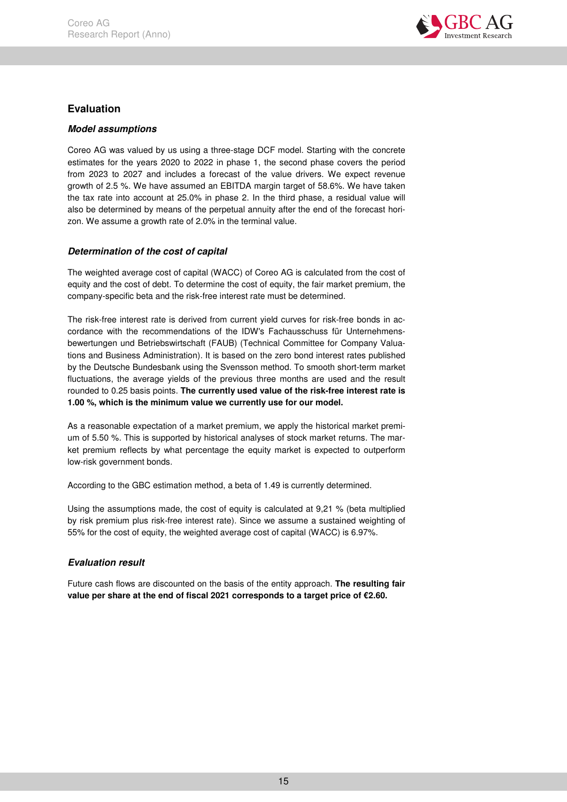

# **Evaluation**

# **Model assumptions**

Coreo AG was valued by us using a three-stage DCF model. Starting with the concrete estimates for the years 2020 to 2022 in phase 1, the second phase covers the period from 2023 to 2027 and includes a forecast of the value drivers. We expect revenue growth of 2.5 %. We have assumed an EBITDA margin target of 58.6%. We have taken the tax rate into account at 25.0% in phase 2. In the third phase, a residual value will also be determined by means of the perpetual annuity after the end of the forecast horizon. We assume a growth rate of 2.0% in the terminal value.

# **Determination of the cost of capital**

The weighted average cost of capital (WACC) of Coreo AG is calculated from the cost of equity and the cost of debt. To determine the cost of equity, the fair market premium, the company-specific beta and the risk-free interest rate must be determined.

The risk-free interest rate is derived from current yield curves for risk-free bonds in accordance with the recommendations of the IDW's Fachausschuss für Unternehmensbewertungen und Betriebswirtschaft (FAUB) (Technical Committee for Company Valuations and Business Administration). It is based on the zero bond interest rates published by the Deutsche Bundesbank using the Svensson method. To smooth short-term market fluctuations, the average yields of the previous three months are used and the result rounded to 0.25 basis points. **The currently used value of the risk-free interest rate is 1.00 %, which is the minimum value we currently use for our model.**

As a reasonable expectation of a market premium, we apply the historical market premium of 5.50 %. This is supported by historical analyses of stock market returns. The market premium reflects by what percentage the equity market is expected to outperform low-risk government bonds.

According to the GBC estimation method, a beta of 1.49 is currently determined.

Using the assumptions made, the cost of equity is calculated at 9,21 % (beta multiplied by risk premium plus risk-free interest rate). Since we assume a sustained weighting of 55% for the cost of equity, the weighted average cost of capital (WACC) is 6.97%.

# **Evaluation result**

Future cash flows are discounted on the basis of the entity approach. **The resulting fair value per share at the end of fiscal 2021 corresponds to a target price of €2.60.**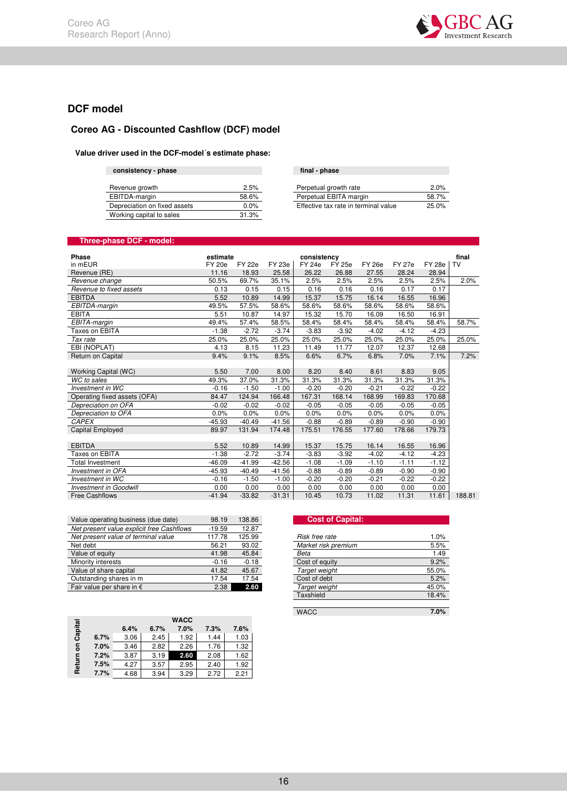

# **DCF model**

## **Coreo AG - Discounted Cashflow (DCF) model**

#### **Value driver used in the DCF-model´s estimate phase:**

| consistency - phase          |       | final - phase                        |       |
|------------------------------|-------|--------------------------------------|-------|
| Revenue growth               | 2.5%  | Perpetual growth rate                | 2.0%  |
| EBITDA-margin                | 58.6% | Perpetual EBITA margin               | 58.7% |
| Depreciation on fixed assets | 0.0%  | Effective tax rate in terminal value | 25.0% |
| Working capital to sales     | 31.3% |                                      |       |

#### **Three-phase DCF - model:**

| Phase                         | estimate      |               |          | consistency   |               |               |               |               | final  |
|-------------------------------|---------------|---------------|----------|---------------|---------------|---------------|---------------|---------------|--------|
| in mEUR                       | <b>FY 20e</b> | <b>FY 22e</b> | FY 23e   | <b>FY 24e</b> | <b>FY 25e</b> | <b>FY 26e</b> | <b>FY 27e</b> | <b>FY 28e</b> | TV     |
| Revenue (RE)                  | 11.16         | 18.93         | 25.58    | 26.22         | 26.88         | 27.55         | 28.24         | 28.94         |        |
| Revenue change                | 50.5%         | 69.7%         | 35.1%    | 2.5%          | 2.5%          | 2.5%          | 2.5%          | 2.5%          | 2.0%   |
| Revenue to fixed assets       | 0.13          | 0.15          | 0.15     | 0.16          | 0.16          | 0.16          | 0.17          | 0.17          |        |
| <b>EBITDA</b>                 | 5.52          | 10.89         | 14.99    | 15.37         | 15.75         | 16.14         | 16.55         | 16.96         |        |
| EBITDA-margin                 | 49.5%         | 57.5%         | 58.6%    | 58.6%         | 58.6%         | 58.6%         | 58.6%         | 58.6%         |        |
| <b>EBITA</b>                  | 5.51          | 10.87         | 14.97    | 15.32         | 15.70         | 16.09         | 16.50         | 16.91         |        |
| EBITA-margin                  | 49.4%         | 57.4%         | 58.5%    | 58.4%         | 58.4%         | 58.4%         | 58.4%         | 58.4%         | 58.7%  |
| Taxes on EBITA                | $-1.38$       | $-2.72$       | $-3.74$  | $-3.83$       | $-3.92$       | $-4.02$       | $-4.12$       | $-4.23$       |        |
| Tax rate                      | 25.0%         | 25.0%         | 25.0%    | 25.0%         | 25.0%         | 25.0%         | 25.0%         | 25.0%         | 25.0%  |
| EBI (NOPLAT)                  | 4.13          | 8.15          | 11.23    | 11.49         | 11.77         | 12.07         | 12.37         | 12.68         |        |
| Return on Capital             | 9.4%          | 9.1%          | 8.5%     | 6.6%          | 6.7%          | 6.8%          | 7.0%          | 7.1%          | 7.2%   |
|                               |               |               |          |               |               |               |               |               |        |
| Working Capital (WC)          | 5.50          | 7.00          | 8.00     | 8.20          | 8.40          | 8.61          | 8.83          | 9.05          |        |
| WC to sales                   | 49.3%         | 37.0%         | 31.3%    | 31.3%         | 31.3%         | 31.3%         | 31.3%         | 31.3%         |        |
| Investment in WC              | $-0.16$       | $-1.50$       | $-1.00$  | $-0.20$       | $-0.20$       | $-0.21$       | $-0.22$       | $-0.22$       |        |
| Operating fixed assets (OFA)  | 84.47         | 124.94        | 166.48   | 167.31        | 168.14        | 168.99        | 169.83        | 170.68        |        |
| Depreciation on OFA           | $-0.02$       | $-0.02$       | $-0.02$  | $-0.05$       | $-0.05$       | $-0.05$       | $-0.05$       | $-0.05$       |        |
| Depreciation to OFA           | 0.0%          | 0.0%          | 0.0%     | 0.0%          | 0.0%          | 0.0%          | 0.0%          | 0.0%          |        |
| <b>CAPEX</b>                  | $-45.93$      | $-40.49$      | $-41.56$ | $-0.88$       | $-0.89$       | $-0.89$       | $-0.90$       | $-0.90$       |        |
| <b>Capital Employed</b>       | 89.97         | 131.94        | 174.48   | 175.51        | 176.55        | 177.60        | 178.66        | 179.73        |        |
|                               |               |               |          |               |               |               |               |               |        |
| <b>EBITDA</b>                 | 5.52          | 10.89         | 14.99    | 15.37         | 15.75         | 16.14         | 16.55         | 16.96         |        |
| Taxes on EBITA                | $-1.38$       | $-2.72$       | $-3.74$  | $-3.83$       | $-3.92$       | $-4.02$       | $-4.12$       | $-4.23$       |        |
| <b>Total Investment</b>       | $-46.09$      | $-41.99$      | $-42.56$ | $-1.08$       | $-1.09$       | $-1.10$       | $-1.11$       | $-1.12$       |        |
| <b>Investment in OFA</b>      | $-45.93$      | $-40.49$      | $-41.56$ | $-0.88$       | $-0.89$       | $-0.89$       | $-0.90$       | $-0.90$       |        |
| Investment in WC              | $-0.16$       | $-1.50$       | $-1.00$  | $-0.20$       | $-0.20$       | $-0.21$       | $-0.22$       | $-0.22$       |        |
| <b>Investment in Goodwill</b> | 0.00          | 0.00          | 0.00     | 0.00          | 0.00          | 0.00          | 0.00          | 0.00          |        |
| <b>Free Cashflows</b>         | $-41.94$      | $-33.82$      | $-31.31$ | 10.45         | 10.73         | 11.02         | 11.31         | 11.61         | 188.81 |

| Value operating business (due date)       | 98.19    | 138.86  | <b>Cost of Capital:</b>     |  |
|-------------------------------------------|----------|---------|-----------------------------|--|
| Net present value explicit free Cashflows | $-19.59$ | 12.87   |                             |  |
| Net present value of terminal value       | 117.78   | 125.99  | Risk free rate<br>1.0%      |  |
| Net debt                                  | 56.21    | 93.02   | 5.5%<br>Market risk premium |  |
| Value of equity                           | 41.98    | 45.84   | 1.49<br>Beta                |  |
| Minority interests                        | $-0.16$  | $-0.18$ | 9.2%<br>Cost of equity      |  |
| Value of share capital                    | 41.82    | 45.67   | 55.0%<br>Target weight      |  |
| Outstanding shares in m                   | 17.54    | 17.54   | 5.2%<br>Cost of debt        |  |
| Fair value per share in $\epsilon$        | 2.38     | 2.60    | 45.0%<br>Target weight      |  |

|         |      |      |      | <b>WACC</b> |      |      |
|---------|------|------|------|-------------|------|------|
| Capital |      | 6.4% | 6.7% | 7.0%        | 7.3% | 7.6% |
|         | 6.7% | 3.06 | 2.45 | 1.92        | 1.44 | 1.03 |
| 등       | 7.0% | 3.46 | 2.82 | 2.26        | 1.76 | 1.32 |
|         | 7.2% | 3.87 | 3.19 | 2.60        | 2.08 | 1.62 |
| Return  | 7.5% | 4.27 | 3.57 | 2.95        | 2.40 | 1.92 |
|         | 7.7% | 4.68 | 3.94 | 3.29        | 2.72 | 2.21 |

| Value operating business (due date)       | 98.19    | 138.86  | <b>Cost of Capital:</b> |       |
|-------------------------------------------|----------|---------|-------------------------|-------|
| Net present value explicit free Cashflows | $-19.59$ | 12.87   |                         |       |
| Net present value of terminal value       | 17.78    | 125.99  | Risk free rate          | 1.0%  |
| Net debt                                  | 56.21    | 93.02   | Market risk premium     | 5.5%  |
| Value of equity                           | 41.98    | 45.84   | Beta                    | 1.49  |
| Minority interests                        | $-0.16$  | $-0.18$ | Cost of equity          | 9.2%  |
| Value of share capital                    | 41.82    | 45.67   | Target weight           | 55.0% |
| Outstanding shares in m                   | 17.54    | 17.54   | Cost of debt            | 5.2%  |
| Fair value per share in $\epsilon$        | 2.38     | 2.60    | Target weight           | 45.0% |
|                                           |          |         | Taxshield               | 18.4% |

WACC **7.0%**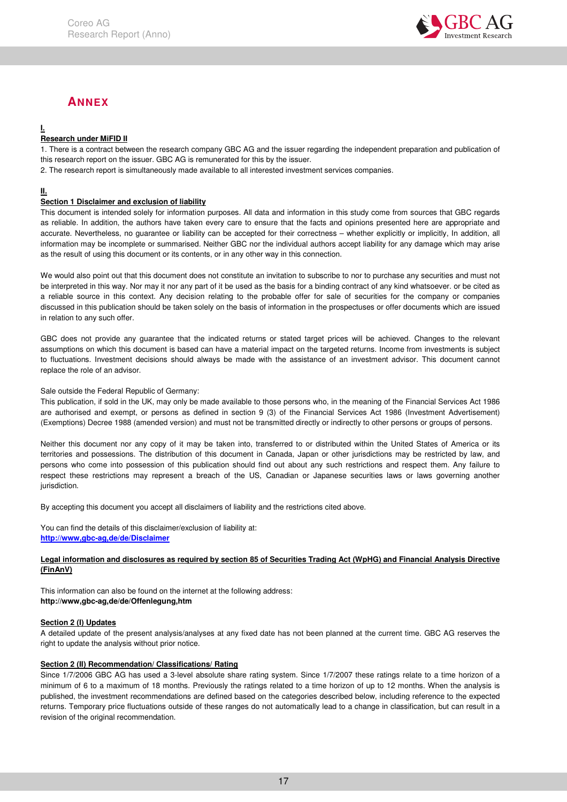

# **ANNEX**

# **I.**

## **Research under MiFID II**

1. There is a contract between the research company GBC AG and the issuer regarding the independent preparation and publication of this research report on the issuer. GBC AG is remunerated for this by the issuer.

2. The research report is simultaneously made available to all interested investment services companies.

#### **II.**

### **Section 1 Disclaimer and exclusion of liability**

This document is intended solely for information purposes. All data and information in this study come from sources that GBC regards as reliable. In addition, the authors have taken every care to ensure that the facts and opinions presented here are appropriate and accurate. Nevertheless, no guarantee or liability can be accepted for their correctness – whether explicitly or implicitly, In addition, all information may be incomplete or summarised. Neither GBC nor the individual authors accept liability for any damage which may arise as the result of using this document or its contents, or in any other way in this connection.

We would also point out that this document does not constitute an invitation to subscribe to nor to purchase any securities and must not be interpreted in this way. Nor may it nor any part of it be used as the basis for a binding contract of any kind whatsoever. or be cited as a reliable source in this context. Any decision relating to the probable offer for sale of securities for the company or companies discussed in this publication should be taken solely on the basis of information in the prospectuses or offer documents which are issued in relation to any such offer.

GBC does not provide any guarantee that the indicated returns or stated target prices will be achieved. Changes to the relevant assumptions on which this document is based can have a material impact on the targeted returns. Income from investments is subject to fluctuations. Investment decisions should always be made with the assistance of an investment advisor. This document cannot replace the role of an advisor.

#### Sale outside the Federal Republic of Germany:

This publication, if sold in the UK, may only be made available to those persons who, in the meaning of the Financial Services Act 1986 are authorised and exempt, or persons as defined in section 9 (3) of the Financial Services Act 1986 (Investment Advertisement) (Exemptions) Decree 1988 (amended version) and must not be transmitted directly or indirectly to other persons or groups of persons.

Neither this document nor any copy of it may be taken into, transferred to or distributed within the United States of America or its territories and possessions. The distribution of this document in Canada, Japan or other jurisdictions may be restricted by law, and persons who come into possession of this publication should find out about any such restrictions and respect them. Any failure to respect these restrictions may represent a breach of the US, Canadian or Japanese securities laws or laws governing another jurisdiction.

By accepting this document you accept all disclaimers of liability and the restrictions cited above.

You can find the details of this disclaimer/exclusion of liability at: **http://www,gbc-ag,de/de/Disclaimer**

### **Legal information and disclosures as required by section 85 of Securities Trading Act (WpHG) and Financial Analysis Directive (FinAnV)**

This information can also be found on the internet at the following address: **http://www,gbc-ag,de/de/Offenlegung,htm**

#### **Section 2 (I) Updates**

A detailed update of the present analysis/analyses at any fixed date has not been planned at the current time. GBC AG reserves the right to update the analysis without prior notice.

#### **Section 2 (II) Recommendation/ Classifications/ Rating**

Since 1/7/2006 GBC AG has used a 3-level absolute share rating system. Since 1/7/2007 these ratings relate to a time horizon of a minimum of 6 to a maximum of 18 months. Previously the ratings related to a time horizon of up to 12 months. When the analysis is published, the investment recommendations are defined based on the categories described below, including reference to the expected returns. Temporary price fluctuations outside of these ranges do not automatically lead to a change in classification, but can result in a revision of the original recommendation.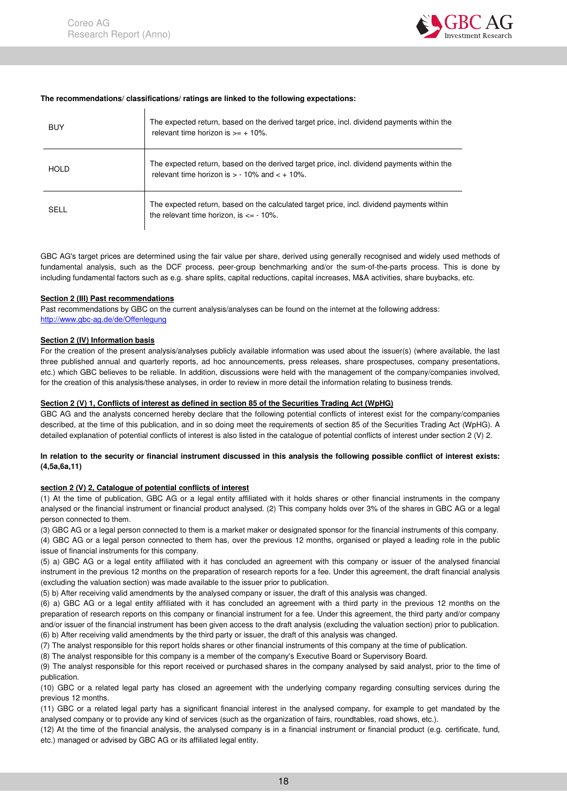

#### **The recommendations/ classifications/ ratings are linked to the following expectations:**

| <b>BUY</b>  | The expected return, based on the derived target price, incl. dividend payments within the<br>relevant time horizon is $\geq 10\%$ .             |
|-------------|--------------------------------------------------------------------------------------------------------------------------------------------------|
| <b>HOLD</b> | The expected return, based on the derived target price, incl. dividend payments within the<br>relevant time horizon is $> -10\%$ and $< +10\%$ . |
| SELL        | The expected return, based on the calculated target price, incl. dividend payments within<br>the relevant time horizon, is $\epsilon$ = - 10%.   |

GBC AG's target prices are determined using the fair value per share, derived using generally recognised and widely used methods of fundamental analysis, such as the DCF process, peer-group benchmarking and/or the sum-of-the-parts process. This is done by including fundamental factors such as e.g. share splits, capital reductions, capital increases, M&A activities, share buybacks, etc.

#### **Section 2 (III) Past recommendations**

Past recommendations by GBC on the current analysis/analyses can be found on the internet at the following address: http://www.gbc-ag.de/de/Offenlegung

#### **Section 2 (IV) Information basis**

For the creation of the present analysis/analyses publicly available information was used about the issuer(s) (where available, the last three published annual and quarterly reports, ad hoc announcements, press releases, share prospectuses, company presentations, etc.) which GBC believes to be reliable. In addition, discussions were held with the management of the company/companies involved, for the creation of this analysis/these analyses, in order to review in more detail the information relating to business trends.

#### **Section 2 (V) 1, Conflicts of interest as defined in section 85 of the Securities Trading Act (WpHG)**

GBC AG and the analysts concerned hereby declare that the following potential conflicts of interest exist for the company/companies described, at the time of this publication, and in so doing meet the requirements of section 85 of the Securities Trading Act (WpHG). A detailed explanation of potential conflicts of interest is also listed in the catalogue of potential conflicts of interest under section 2 (V) 2.

#### **In relation to the security or financial instrument discussed in this analysis the following possible conflict of interest exists: (4,5a,6a,11)**

#### **section 2 (V) 2, Catalogue of potential conflicts of interest**

(1) At the time of publication, GBC AG or a legal entity affiliated with it holds shares or other financial instruments in the company analysed or the financial instrument or financial product analysed. (2) This company holds over 3% of the shares in GBC AG or a legal person connected to them.

(3) GBC AG or a legal person connected to them is a market maker or designated sponsor for the financial instruments of this company. (4) GBC AG or a legal person connected to them has, over the previous 12 months, organised or played a leading role in the public issue of financial instruments for this company.

(5) a) GBC AG or a legal entity affiliated with it has concluded an agreement with this company or issuer of the analysed financial instrument in the previous 12 months on the preparation of research reports for a fee. Under this agreement, the draft financial analysis (excluding the valuation section) was made available to the issuer prior to publication.

(5) b) After receiving valid amendments by the analysed company or issuer, the draft of this analysis was changed.

(6) a) GBC AG or a legal entity affiliated with it has concluded an agreement with a third party in the previous 12 months on the preparation of research reports on this company or financial instrument for a fee. Under this agreement, the third party and/or company and/or issuer of the financial instrument has been given access to the draft analysis (excluding the valuation section) prior to publication. (6) b) After receiving valid amendments by the third party or issuer, the draft of this analysis was changed.

(7) The analyst responsible for this report holds shares or other financial instruments of this company at the time of publication.

(8) The analyst responsible for this company is a member of the company's Executive Board or Supervisory Board.

(9) The analyst responsible for this report received or purchased shares in the company analysed by said analyst, prior to the time of publication.

(10) GBC or a related legal party has closed an agreement with the underlying company regarding consulting services during the previous 12 months.

(11) GBC or a related legal party has a significant financial interest in the analysed company, for example to get mandated by the analysed company or to provide any kind of services (such as the organization of fairs, roundtables, road shows, etc.).

(12) At the time of the financial analysis, the analysed company is in a financial instrument or financial product (e.g. certificate, fund, etc.) managed or advised by GBC AG or its affiliated legal entity.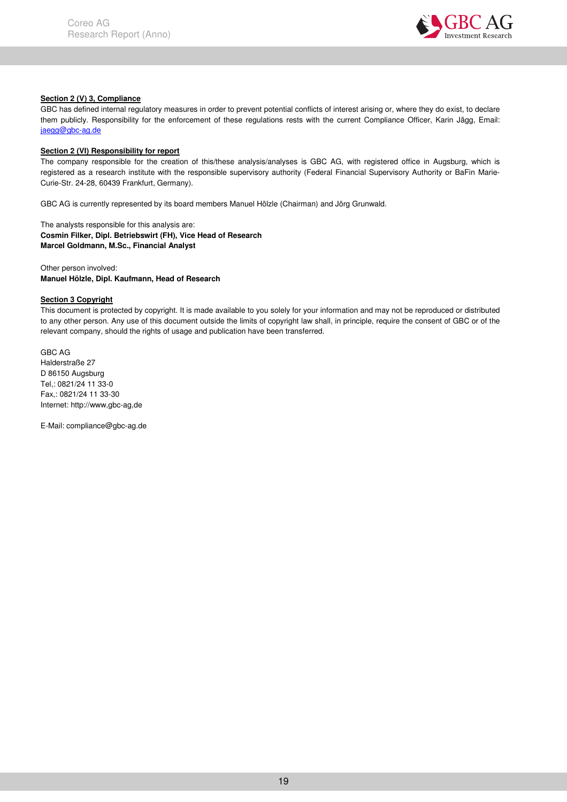

### **Section 2 (V) 3, Compliance**

GBC has defined internal regulatory measures in order to prevent potential conflicts of interest arising or, where they do exist, to declare them publicly. Responsibility for the enforcement of these regulations rests with the current Compliance Officer, Karin Jägg, Email: jaegg@gbc-ag.de

#### **Section 2 (VI) Responsibility for report**

The company responsible for the creation of this/these analysis/analyses is GBC AG, with registered office in Augsburg, which is registered as a research institute with the responsible supervisory authority (Federal Financial Supervisory Authority or BaFin Marie-Curie-Str. 24-28, 60439 Frankfurt, Germany).

GBC AG is currently represented by its board members Manuel Hölzle (Chairman) and Jörg Grunwald.

The analysts responsible for this analysis are: **Cosmin Filker, Dipl. Betriebswirt (FH), Vice Head of Research Marcel Goldmann, M.Sc., Financial Analyst** 

Other person involved: **Manuel Hölzle, Dipl. Kaufmann, Head of Research** 

#### **Section 3 Copyright**

This document is protected by copyright. It is made available to you solely for your information and may not be reproduced or distributed to any other person. Any use of this document outside the limits of copyright law shall, in principle, require the consent of GBC or of the relevant company, should the rights of usage and publication have been transferred.

GBC AG Halderstraße 27 D 86150 Augsburg Tel,: 0821/24 11 33-0 Fax,: 0821/24 11 33-30 Internet: http://www,gbc-ag,de

E-Mail: compliance@gbc-ag.de